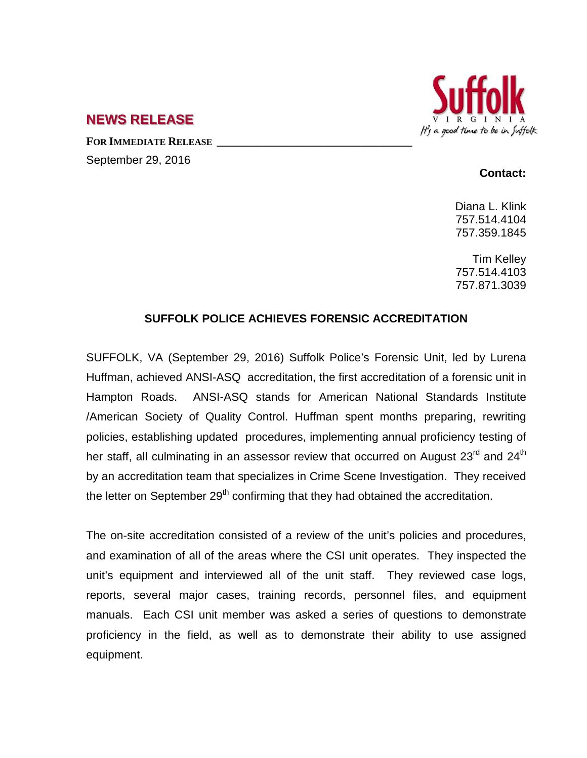

## **NEWS RELEASE**

**FOR IMMEDIATE RELEASE \_\_\_\_\_\_\_\_\_\_\_\_\_\_\_\_\_\_\_\_\_\_\_\_\_\_\_\_\_\_\_\_\_\_** September 29, 2016

## **Contact:**

Diana L. Klink 757.514.4104 757.359.1845

Tim Kelley 757.514.4103 757.871.3039

## **SUFFOLK POLICE ACHIEVES FORENSIC ACCREDITATION**

SUFFOLK, VA (September 29, 2016) Suffolk Police's Forensic Unit, led by Lurena Huffman, achieved ANSI-ASQ accreditation, the first accreditation of a forensic unit in Hampton Roads. ANSI-ASQ stands for American National Standards Institute /American Society of Quality Control. Huffman spent months preparing, rewriting policies, establishing updated procedures, implementing annual proficiency testing of her staff, all culminating in an assessor review that occurred on August 23<sup>rd</sup> and 24<sup>th</sup> by an accreditation team that specializes in Crime Scene Investigation. They received the letter on September  $29<sup>th</sup>$  confirming that they had obtained the accreditation.

The on-site accreditation consisted of a review of the unit's policies and procedures, and examination of all of the areas where the CSI unit operates. They inspected the unit's equipment and interviewed all of the unit staff. They reviewed case logs, reports, several major cases, training records, personnel files, and equipment manuals. Each CSI unit member was asked a series of questions to demonstrate proficiency in the field, as well as to demonstrate their ability to use assigned equipment.